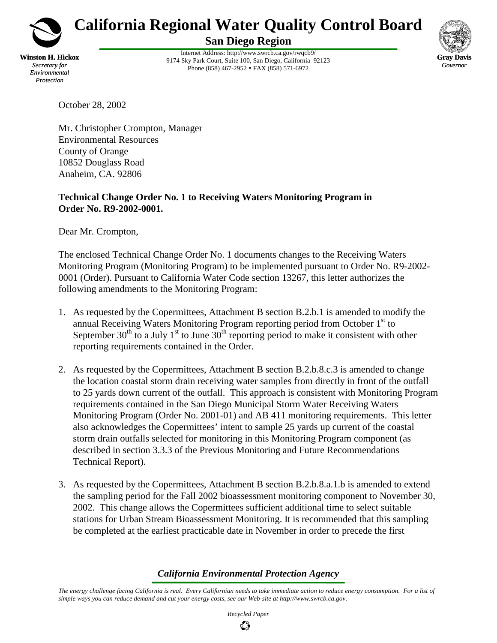

**California Regional Water Quality Control Board San Diego Region**

**Winston H. Hickox** *Secretary for Environmental Protection*

Internet Address: http://www.swrcb.ca.gov/rwqcb9/ 9174 Sky Park Court, Suite 100, San Diego, California 92123 Phone (858) 467-2952 • FAX (858) 571-6972



October 28, 2002

Mr. Christopher Crompton, Manager Environmental Resources County of Orange 10852 Douglass Road Anaheim, CA. 92806

## **Technical Change Order No. 1 to Receiving Waters Monitoring Program in Order No. R9-2002-0001.**

Dear Mr. Crompton,

The enclosed Technical Change Order No. 1 documents changes to the Receiving Waters Monitoring Program (Monitoring Program) to be implemented pursuant to Order No. R9-2002- 0001 (Order). Pursuant to California Water Code section 13267, this letter authorizes the following amendments to the Monitoring Program:

- 1. As requested by the Copermittees, Attachment B section B.2.b.1 is amended to modify the annual Receiving Waters Monitoring Program reporting period from October 1<sup>st</sup> to September  $30<sup>th</sup>$  to a July 1<sup>st</sup> to June  $30<sup>th</sup>$  reporting period to make it consistent with other reporting requirements contained in the Order.
- 2. As requested by the Copermittees, Attachment B section B.2.b.8.c.3 is amended to change the location coastal storm drain receiving water samples from directly in front of the outfall to 25 yards down current of the outfall. This approach is consistent with Monitoring Program requirements contained in the San Diego Municipal Storm Water Receiving Waters Monitoring Program (Order No. 2001-01) and AB 411 monitoring requirements. This letter also acknowledges the Copermittees' intent to sample 25 yards up current of the coastal storm drain outfalls selected for monitoring in this Monitoring Program component (as described in section 3.3.3 of the Previous Monitoring and Future Recommendations Technical Report).
- 3. As requested by the Copermittees, Attachment B section B.2.b.8.a.1.b is amended to extend the sampling period for the Fall 2002 bioassessment monitoring component to November 30, 2002. This change allows the Copermittees sufficient additional time to select suitable stations for Urban Stream Bioassessment Monitoring. It is recommended that this sampling be completed at the earliest practicable date in November in order to precede the first

## *California Environmental Protection Agency*

*The energy challenge facing California is real. Every Californian needs to take immediate action to reduce energy consumption. For a list of simple ways you can reduce demand and cut your energy costs, see our Web-site at http://www.swrcb.ca.gov.*